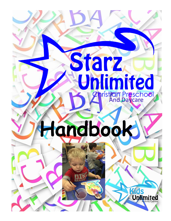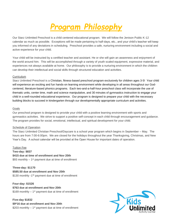# *Program Philosophy*

Our Starz Unlimited Preschool is a child centered educational program. We will follow the Jenison Public K-12 calendar as much as possible. Exceptions will be made pertaining to half-days, etc., and your child's teacher will keep you informed of any deviations in scheduling. Preschool provides a safe, nurturing environment including a social and active experience for your child.

Your child will be instructed by a certified teacher and assistant. He or she will gain an awareness and enjoyment of the world around him. This will be accomplished through a variety of youth scaled equipment, expressive material, and experiences not always available at home. Our philosophy is to provide a nurturing environment in which the children can develop their intellectual and social skills through structured education and activities.

# **Curriculum**

Starz Unlimited Preschool is a Christian, fitness-based preschool program exclusively for children ages 3-5! Your child will experience an exciting and fun hands-on learning environment while developing in all areas throughout our Godcentered, literature-based phonics programs. Each two-and-a-half-hour preschool class will incorporate the use of thematic units, center time, math and science manipulative, and 30 minutes of gymnastics instruction to engage your child in a well-rounded educational experience. Our program is designed to prepare your child with the necessary building blocks to succeed in kindergarten through our developmentally appropriate curriculum and activities.

# Goals

Our preschool program is designed to provide your child with a positive learning environment with sports and gymnastics activities. We strive to support a positive self-concept in each child through encouragement and guidance. The program provides for social, emotional, intellectual, and spiritual development for your child.

# Schedule of Operation

The Starz Unlimited Christian Preschool/Daycare is a school year program which begins in September – May. The hours are from 7:00-6:00pm. We are closed for the holidays throughout the year Thanksgiving, Christmas, and New Year's Day. A school calendar will be provided at the Open House for important dates of operation.

# Tuition Fee

**Two-day: \$837 \$415 due at time of enrollment and Nov 20th** \$93 monthly – 1<sup>st</sup> payment due at time of enrollment

**Three-day: \$1170 \$585.50 due at enrollment and Nov 20th** \$130 monthly -1<sup>St</sup> payment due at time of enrollment

**Four-day: \$1526 \$763 due at enrollment and Nov 20th** \$169 monthly – 1<sup>st</sup> payment due at time of enrollment

**Five-day \$1832 \$9\*16 due at enrollment and Nov 20th** \$203 monthly – 1<sup>st</sup> payment due at time of enrollment

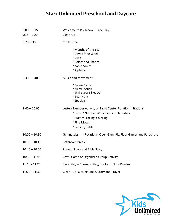# **Starz Unlimited Preschool and Daycare**

|               | $9:00 - 9:15$   | Welcome to Preschool - Free Play                                   |  |
|---------------|-----------------|--------------------------------------------------------------------|--|
|               | $9:15 - 9:20$   | Clean-Up                                                           |  |
|               | 9:20-9:30       | Circle Time:                                                       |  |
|               |                 | *Months of the Year                                                |  |
|               |                 | *Days of the Week                                                  |  |
|               |                 | *Date                                                              |  |
|               |                 | *Colors and Shapes                                                 |  |
|               |                 | *Zoo-phonics                                                       |  |
|               |                 | *Alphabet                                                          |  |
| $9:30 - 9:40$ |                 | <b>Music and Movement:</b>                                         |  |
|               |                 | *Freeze Dance                                                      |  |
|               |                 | *Animal Action                                                     |  |
|               |                 | *Shake your Sillies Out                                            |  |
|               |                 | *Bear Hunt                                                         |  |
|               |                 | <i>*Specials</i>                                                   |  |
|               | $9:40 - 10:00$  | Letter/ Number Activity or Table Center Rotations (Stations)       |  |
|               |                 | *Letter/ Number Worksheets or Activities                           |  |
|               |                 | *Puzzles, Lacing, Coloring                                         |  |
|               |                 | *Fine Motor                                                        |  |
|               |                 | *Sensory Table                                                     |  |
|               | $10:00 - 10:30$ | Gymnastics<br>*Rotations, Open Gym, Pit, Floor Games and Parachute |  |
|               | $10:30 - 10:40$ | <b>Bathroom Break</b>                                              |  |
|               | $10:40 - 10:50$ | Prayer, Snack and Bible Story                                      |  |
|               | $10:50 - 11:10$ | Craft, Game or Organized Group Activity                            |  |
|               | $11:10 - 11:20$ | Floor Play - Dramatic Play, Books or Floor Puzzles                 |  |
|               | 11:20 - 11:30   | Clean -up, Closing Circle, Story and Prayer                        |  |

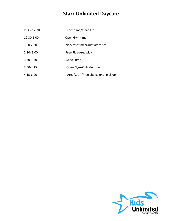# **Starz Unlimited Daycare**

| 11:45-12:30   | Lunch time/Clean Up                  |
|---------------|--------------------------------------|
| 12:30-1:00    | Open Gym time                        |
| $1:00-2:30$   | Nap/rest time/Quiet activities       |
| $2:30 - 3:00$ | Free Play-Area play                  |
| $3:30-3:50$   | Snack time                           |
| $3:50-4:15$   | Open Gym/Outside time                |
| $4:15-6:00$   | Area/Craft/Free choice until pick up |

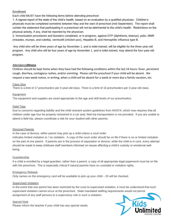# **Enrollment**

Each child MUST have the following items before attending preschool:

1. A signed report of the state of the child's health, based on an evaluation by a qualified physician. Children's physicals must be completed sometime between May and the start of preschool (mid-September). The report shall contain the statement that participating in a preschool will not be detrimental to the child's health. Restrictions on the physical activity, if any, shall be reported by the physician.

2. Immunization procedures and boosters completed, or in progress, against DTP (diphtheria, tetanus), polio, MMR (measles, mumps, and rubella), vermicelli (chicken pox), Hepatitis B, and Hemophilic influenza type B.

Any child who will be three years of age by November 1, and is toilet trained, will be eligible for the three-year-old program. Any child who will be four years of age by November 1, and is toilet trained, may attend the four-year-old program.

# Attendance**/Illness**

Children should be kept home when they have had the following conditions within the last 24 hours: fever, persistent cough, diarrhea, contagious rashes, and/or vomiting. Please call the preschool if your child will be absent. We request a two-week notice, in writing, when a child will be absent for a week or more due a family vacation, etc.

# Class Size

There is a limit of 17 preschoolers per 4-year-old class. There is a limit of 16 preschoolers per 3-year-old class.

# Equipment

The equipment and supplies are sized appropriate to the age and skill levels of our preschoolers.

# Field Trips

Due to concerns regarding liability and the child restraint system guidelines from NHSTA, which now requires that all children under age four be properly restrained in a car seat, field trip transportation is not provided. If you are unable to attend a field trip, please coordinate a ride for your student with other parents.

# Divorced Parents

In the case of divorce, either parent may pick up a child unless a court order

indicates limited visitation or / no visitation. A copy of the court order should be on file if there is no or limited visitation on the part of one parent. If parents are in the process of separation or divorce, while the child is in care, every attempt should be made to keep childcare staff members informed on issues affecting a child's custody or emotional wellbeing.

# Guardianship

If a child is enrolled by a legal guardian, rather than a parent, a copy of all appropriate legal paperwork must be on file with the preschool. This is especially critical if natural parents have no custodial or visitation rights.

# Emergency Release

Only names on the emergency card will be available to pick up your child – ID will be checked.

# Supervised Visitation

In the event that one parent has been restricted by the court to supervised visitation, it must be understood that such supervised visitation cannot occur at the preschool. State mandated staffing requirements would not permit assignment of any staff persons to a supervisory role in such a visitation.

# Special Note

Please inform the teacher if your child has any special needs.

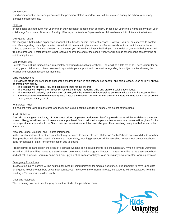#### **Conferences**

Good communication between parents and the preschool staff is important. You will be informed during the school year of any planned conference time.

#### **Clothing**

Please send an extra outfit with your child in their backpack in case of an accident. Please put your child's name on any item your child brings from home. Dress comfortably. Please, no leotards for 3-year-olds as children have a difficult time in the bathroom.

#### Delinquent Tuition

We recognize that families experience financial difficulties for several different reasons. However, you will be expected to contact our office regarding this subject matter. An effort will be made to place you on a different installment plan which may be better suited to your current financial situation. In the event you fall two installments behind, you run the risk of your child being removed from the program. If total payment is not received prior to the end of the school year, we will pursue other means of recovering all outstanding tuition.

#### Late Pickup Fees

Parents must pick up their children immediately following dismissal of preschool. There will be a late fee of \$10 per 1/4 hour for not picking your children up on time. We would appreciate your support and cooperation regarding this subject matter showing the teacher and assistant respect for their time.

#### Child Management

The following steps will be taken to encourage children to grow in self-esteem, self-control, and self-direction. Each child will always be treated with dignity.

- The teacher will set clear, fair, and consistent limits for the children.
- The teacher will help children in conflict resolution through modeling skills and problem-solving techniques.
- The teacher will patiently remind children of rules, with the knowledge that mistakes are often valuable learning opportunities.
- If a conflict cannot be resolved following these steps, a time out chair will be used with children 3-5 years old. Time out will not be used for those younger than 3 years old.

#### Withdrawal Policy

If a student withdraws from the program, the tuition is due until the last day of school. We do not offer refunds.

#### Snacks/Nutrition

A small snack is given each day. Snacks are provided by parents. A donation list of approved snacks will be available at the open house. Allergy sensitive snack donations are appreciated. Starz Unlimited is a peanut free environment. Water will be given for the beverage at snack time due to the Starz Unlimited sensitivity to nutrition and allergies. Hand washing is required before and after snack time.

#### Weather, School Closings, and Related Information

In the event of inclement weather, preschool may be forced to cancel classes. If Jenison Public Schools are closed due to weather, then preschool will also be closed. If there is a 2-hour delay, morning preschool will be cancelled. Please look on our Facebook page for updates or email for communication due to closing.

Preschool will be cancelled in the event of a tornado warning being issued prior to its scheduled start. When a tornado warning is issued all children will be moved to a safe location determined by the program director. The teacher will take the attendance book and call roll. However, you may come and pick up your child from school if you wish during any severe weather warning or watch.

#### Emergency Procedures

In case of an injury, parents will be notified, followed by communication for medical assistance. It is important to have up to date emergency telephone numbers so we may contact you. In case of fire or Bomb Threats, the students will be evacuated from the building – The authorities will be notified.

#### Licensing Notebook

The Licensing notebook is in the gray cabinet located in the preschool room.

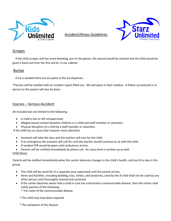

Accident/illness Guidelines



# **Scrapes**

 If the child scrapes and has some bleeding, put on the gloves, the wound would be cleaned and the child would be given a band-aid from the first aid kit, in our cabinet.

# Bumps

If ice is needed there are ice packs in the ice dispenser.

\*Parents will be notified with an incident report filled out. We will place in their mailbox. A follow up text/call or in person to the parent will also be done.

# Injuries – Serious Accident

All included but not limited to the following:

- A child is lost or left unsupervised.
- Alleged sexual contact between children or a child and staff member or volunteer.
- Physical discipline of a child by a staff member or volunteer.

If the child has an injury that requires more attention:

- Assistant will take the class and the teacher will care for the child.
- If an emergency the assistant will call 911 and the teacher would continue to sit with the child.
- If needed CPR would be given until ambulance arrives.
- Parents will be notified immediately by phone call. An injury form is written up as well.

# Child illness

Parents will be notified immediately when the center observes changes in the child's health, and too ill to stay in the group.

- The child will be cared for in a separate area supervised until the parent arrives.
- Items and facilities, including bedding, toys, toilets, and lavatories, used by the ill child shall not be used by any other person until thoroughly cleaned and sanitized.
- If the center becomes aware that a child in care has contracted a communicable disease, then the center shall notify parents of the following:
	- \* The name of the communicable disease.
	- \* The child may have been exposed.
	- \* The symptoms of the disease.